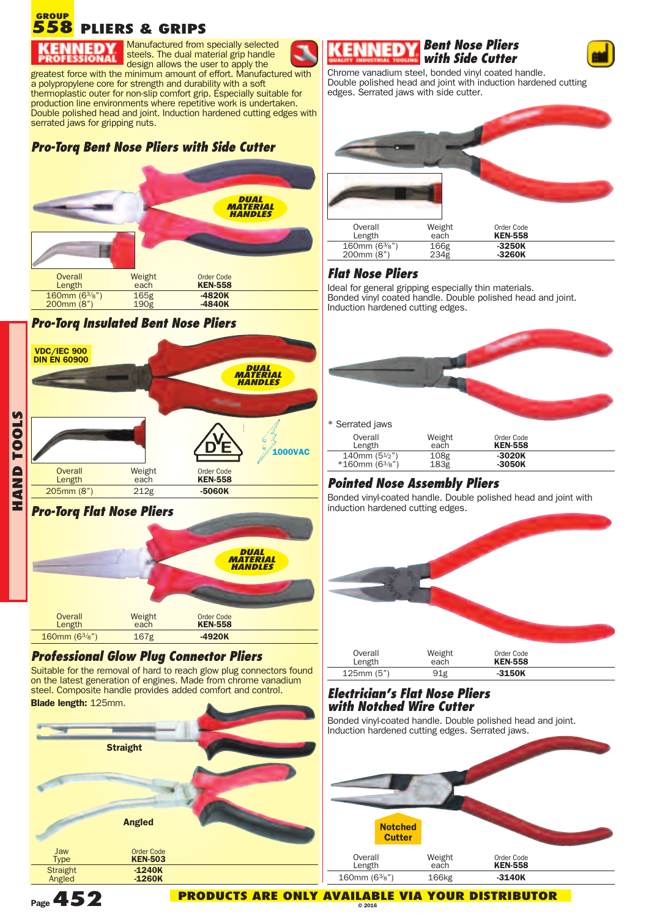#### **PLIERS & GRIPS 558 GROUP**

steels. The dual material grip handle design allows the user to apply the greatest force with the minimum amount of effort. Manufactured with a polypropylene core for strength and durability with a soft thermoplastic outer for non-slip comfort grip. Especially suitable for production line environments where repetitive work is undertaken. Double polished head and joint. Induction hardened cutting edges with serrated jaws for gripping nuts.

Manufactured from specially selected

# *Pro-Torq Bent Nose Pliers with Side Cutter*



### *Pro-Torq Insulated Bent Nose Pliers*



# *Pro-Torq Flat Nose Pliers*



# *Professional Glow Plug Connector Pliers*

Suitable for the removal of hard to reach glow plug connectors found on the latest generation of engines. Made from chrome vanadium steel. Composite handle provides added comfort and control. **Blade length:** 125mm.



### *Bent Nose Pliers with Side Cutter*



Chrome vanadium steel, bonded vinyl coated handle. Double polished head and joint with induction hardened cutting edges. Serrated jaws with side cutter.



# *Flat Nose Pliers*

Ideal for general gripping especially thin materials. Bonded vinyl coated handle. Double polished head and joint. Induction hardened cutting edges.



# *Pointed Nose Assembly Pliers*

Bonded vinyl-coated handle. Double polished head and joint with induction hardened cutting edges.



## *Electrician's Flat Nose Pliers with Notched Wire Cutter*

Bonded vinyl-coated handle. Double polished head and joint. Induction hardened cutting edges. Serrated jaws.